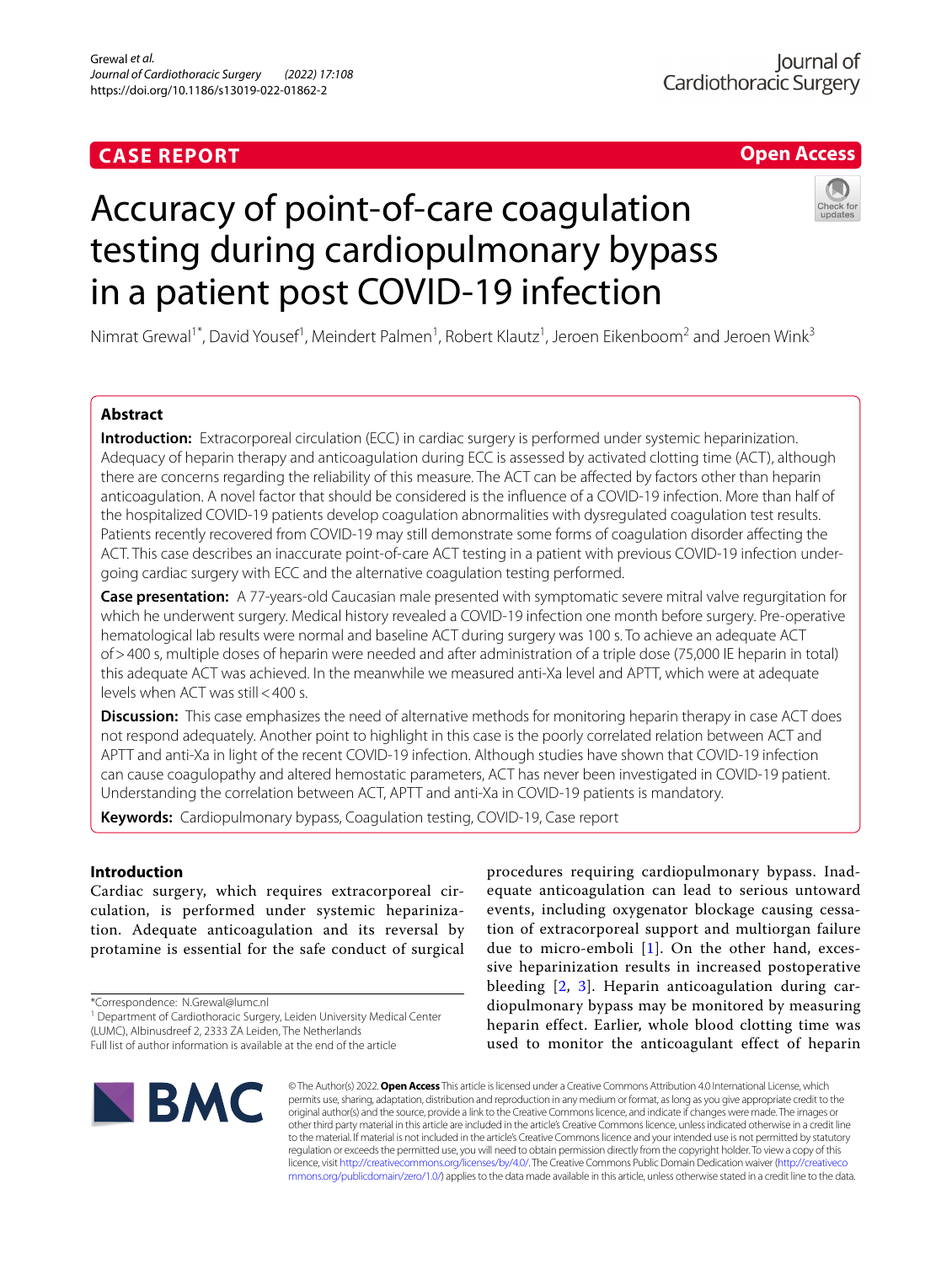# **CASE REPORT**

# **Open Access**

# Accuracy of point-of-care coagulation testing during cardiopulmonary bypass in a patient post COVID-19 infection



Nimrat Grewal<sup>1\*</sup>, David Yousef<sup>1</sup>, Meindert Palmen<sup>1</sup>, Robert Klautz<sup>1</sup>, Jeroen Eikenboom<sup>2</sup> and Jeroen Wink<sup>3</sup>

# **Abstract**

**Introduction:** Extracorporeal circulation (ECC) in cardiac surgery is performed under systemic heparinization. Adequacy of heparin therapy and anticoagulation during ECC is assessed by activated clotting time (ACT), although there are concerns regarding the reliability of this measure. The ACT can be afected by factors other than heparin anticoagulation. A novel factor that should be considered is the infuence of a COVID-19 infection. More than half of the hospitalized COVID-19 patients develop coagulation abnormalities with dysregulated coagulation test results. Patients recently recovered from COVID-19 may still demonstrate some forms of coagulation disorder afecting the ACT. This case describes an inaccurate point-of-care ACT testing in a patient with previous COVID-19 infection undergoing cardiac surgery with ECC and the alternative coagulation testing performed.

**Case presentation:** A 77-years-old Caucasian male presented with symptomatic severe mitral valve regurgitation for which he underwent surgery. Medical history revealed a COVID-19 infection one month before surgery. Pre-operative hematological lab results were normal and baseline ACT during surgery was 100 s. To achieve an adequate ACT of>400 s, multiple doses of heparin were needed and after administration of a triple dose (75,000 IE heparin in total) this adequate ACT was achieved. In the meanwhile we measured anti-Xa level and APTT, which were at adequate levels when ACT was still<400 s.

**Discussion:** This case emphasizes the need of alternative methods for monitoring heparin therapy in case ACT does not respond adequately. Another point to highlight in this case is the poorly correlated relation between ACT and APTT and anti-Xa in light of the recent COVID-19 infection. Although studies have shown that COVID-19 infection can cause coagulopathy and altered hemostatic parameters, ACT has never been investigated in COVID-19 patient. Understanding the correlation between ACT, APTT and anti-Xa in COVID-19 patients is mandatory.

**Keywords:** Cardiopulmonary bypass, Coagulation testing, COVID-19, Case report

# **Introduction**

Cardiac surgery, which requires extracorporeal circulation, is performed under systemic heparinization. Adequate anticoagulation and its reversal by protamine is essential for the safe conduct of surgical

\*Correspondence: N.Grewal@lumc.nl

<sup>1</sup> Department of Cardiothoracic Surgery, Leiden University Medical Center (LUMC), Albinusdreef 2, 2333 ZA Leiden, The Netherlands

procedures requiring cardiopulmonary bypass. Inadequate anticoagulation can lead to serious untoward events, including oxygenator blockage causing cessation of extracorporeal support and multiorgan failure due to micro-emboli [[1\]](#page-4-0). On the other hand, excessive heparinization results in increased postoperative bleeding [\[2,](#page-4-1) [3\]](#page-5-0). Heparin anticoagulation during cardiopulmonary bypass may be monitored by measuring heparin effect. Earlier, whole blood clotting time was used to monitor the anticoagulant effect of heparin



© The Author(s) 2022. **Open Access** This article is licensed under a Creative Commons Attribution 4.0 International License, which permits use, sharing, adaptation, distribution and reproduction in any medium or format, as long as you give appropriate credit to the original author(s) and the source, provide a link to the Creative Commons licence, and indicate if changes were made. The images or other third party material in this article are included in the article's Creative Commons licence, unless indicated otherwise in a credit line to the material. If material is not included in the article's Creative Commons licence and your intended use is not permitted by statutory regulation or exceeds the permitted use, you will need to obtain permission directly from the copyright holder. To view a copy of this licence, visit [http://creativecommons.org/licenses/by/4.0/.](http://creativecommons.org/licenses/by/4.0/) The Creative Commons Public Domain Dedication waiver ([http://creativeco](http://creativecommons.org/publicdomain/zero/1.0/) [mmons.org/publicdomain/zero/1.0/](http://creativecommons.org/publicdomain/zero/1.0/)) applies to the data made available in this article, unless otherwise stated in a credit line to the data.

Full list of author information is available at the end of the article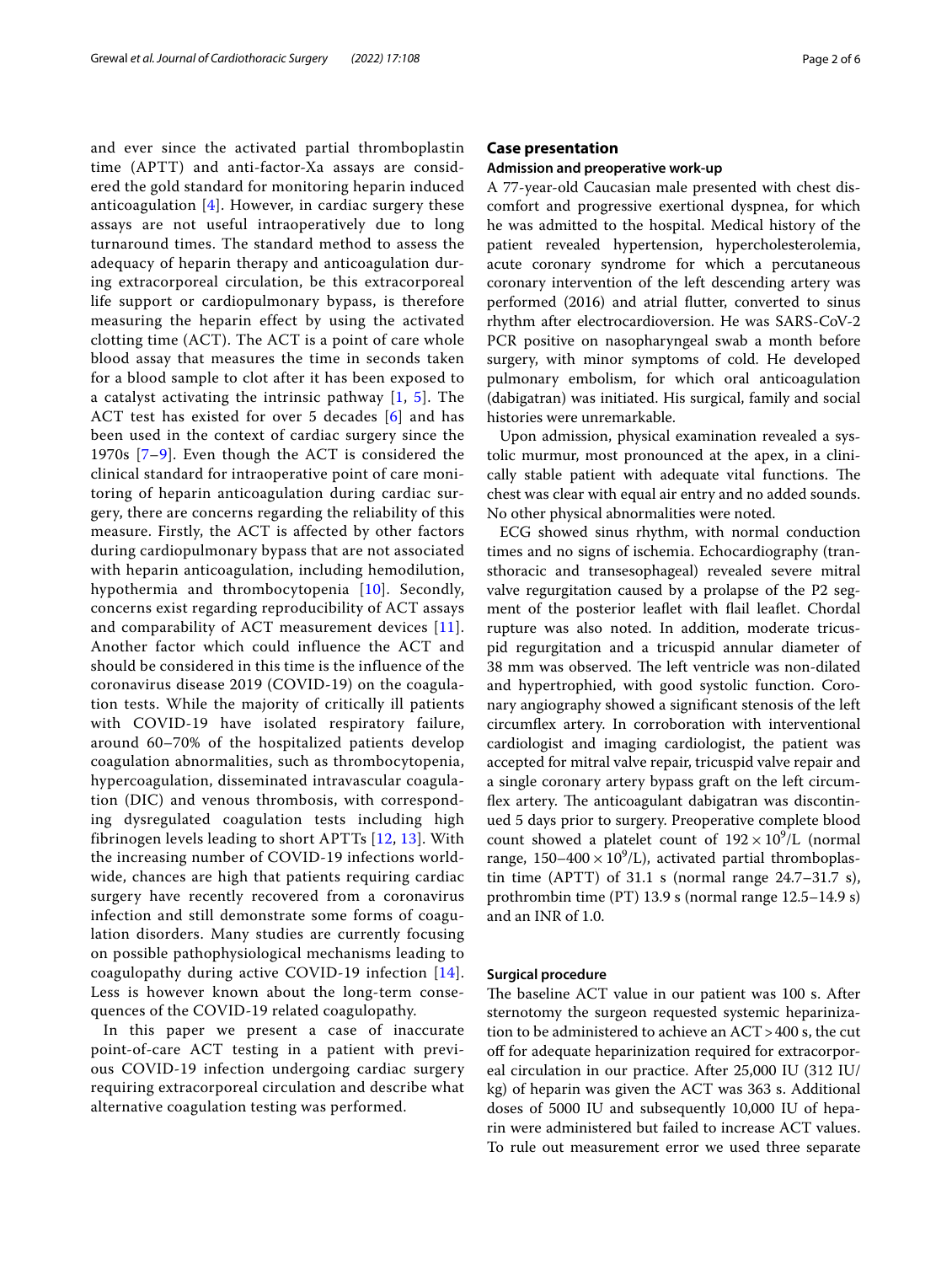and ever since the activated partial thromboplastin time (APTT) and anti-factor-Xa assays are considered the gold standard for monitoring heparin induced anticoagulation  $[4]$  $[4]$ . However, in cardiac surgery these assays are not useful intraoperatively due to long turnaround times. The standard method to assess the adequacy of heparin therapy and anticoagulation during extracorporeal circulation, be this extracorporeal life support or cardiopulmonary bypass, is therefore measuring the heparin effect by using the activated clotting time (ACT). The ACT is a point of care whole blood assay that measures the time in seconds taken for a blood sample to clot after it has been exposed to a catalyst activating the intrinsic pathway [[1,](#page-4-0) [5](#page-5-2)]. The ACT test has existed for over 5 decades [[6\]](#page-5-3) and has been used in the context of cardiac surgery since the 1970s [\[7–](#page-5-4)[9\]](#page-5-5). Even though the ACT is considered the clinical standard for intraoperative point of care monitoring of heparin anticoagulation during cardiac surgery, there are concerns regarding the reliability of this measure. Firstly, the ACT is affected by other factors during cardiopulmonary bypass that are not associated with heparin anticoagulation, including hemodilution, hypothermia and thrombocytopenia [[10](#page-5-6)]. Secondly, concerns exist regarding reproducibility of ACT assays and comparability of ACT measurement devices [[11\]](#page-5-7). Another factor which could influence the ACT and should be considered in this time is the influence of the coronavirus disease 2019 (COVID-19) on the coagulation tests. While the majority of critically ill patients with COVID-19 have isolated respiratory failure, around 60–70% of the hospitalized patients develop coagulation abnormalities, such as thrombocytopenia, hypercoagulation, disseminated intravascular coagulation (DIC) and venous thrombosis, with corresponding dysregulated coagulation tests including high fibrinogen levels leading to short APTTs [\[12,](#page-5-8) [13\]](#page-5-9). With the increasing number of COVID-19 infections worldwide, chances are high that patients requiring cardiac surgery have recently recovered from a coronavirus infection and still demonstrate some forms of coagulation disorders. Many studies are currently focusing on possible pathophysiological mechanisms leading to coagulopathy during active COVID-19 infection [[14\]](#page-5-10). Less is however known about the long-term consequences of the COVID-19 related coagulopathy.

In this paper we present a case of inaccurate point-of-care ACT testing in a patient with previous COVID-19 infection undergoing cardiac surgery requiring extracorporeal circulation and describe what alternative coagulation testing was performed.

## **Case presentation**

#### **Admission and preoperative work‑up**

A 77-year-old Caucasian male presented with chest discomfort and progressive exertional dyspnea, for which he was admitted to the hospital. Medical history of the patient revealed hypertension, hypercholesterolemia, acute coronary syndrome for which a percutaneous coronary intervention of the left descending artery was performed (2016) and atrial futter, converted to sinus rhythm after electrocardioversion. He was SARS-CoV-2 PCR positive on nasopharyngeal swab a month before surgery, with minor symptoms of cold. He developed pulmonary embolism, for which oral anticoagulation (dabigatran) was initiated. His surgical, family and social histories were unremarkable.

Upon admission, physical examination revealed a systolic murmur, most pronounced at the apex, in a clinically stable patient with adequate vital functions. The chest was clear with equal air entry and no added sounds. No other physical abnormalities were noted.

ECG showed sinus rhythm, with normal conduction times and no signs of ischemia. Echocardiography (transthoracic and transesophageal) revealed severe mitral valve regurgitation caused by a prolapse of the P2 segment of the posterior leafet with fail leafet. Chordal rupture was also noted. In addition, moderate tricuspid regurgitation and a tricuspid annular diameter of 38 mm was observed. The left ventricle was non-dilated and hypertrophied, with good systolic function. Coronary angiography showed a signifcant stenosis of the left circumfex artery. In corroboration with interventional cardiologist and imaging cardiologist, the patient was accepted for mitral valve repair, tricuspid valve repair and a single coronary artery bypass graft on the left circumflex artery. The anticoagulant dabigatran was discontinued 5 days prior to surgery. Preoperative complete blood count showed a platelet count of  $192 \times 10^9$ /L (normal range,  $150-400 \times 10^9$ /L), activated partial thromboplastin time (APTT) of  $31.1$  s (normal range  $24.7-31.7$  s), prothrombin time (PT) 13.9 s (normal range 12.5–14.9 s) and an INR of 1.0.

## **Surgical procedure**

The baseline ACT value in our patient was 100 s. After sternotomy the surgeon requested systemic heparinization to be administered to achieve an ACT>400 s, the cut off for adequate heparinization required for extracorporeal circulation in our practice. After 25,000 IU (312 IU/ kg) of heparin was given the ACT was 363 s. Additional doses of 5000 IU and subsequently 10,000 IU of heparin were administered but failed to increase ACT values. To rule out measurement error we used three separate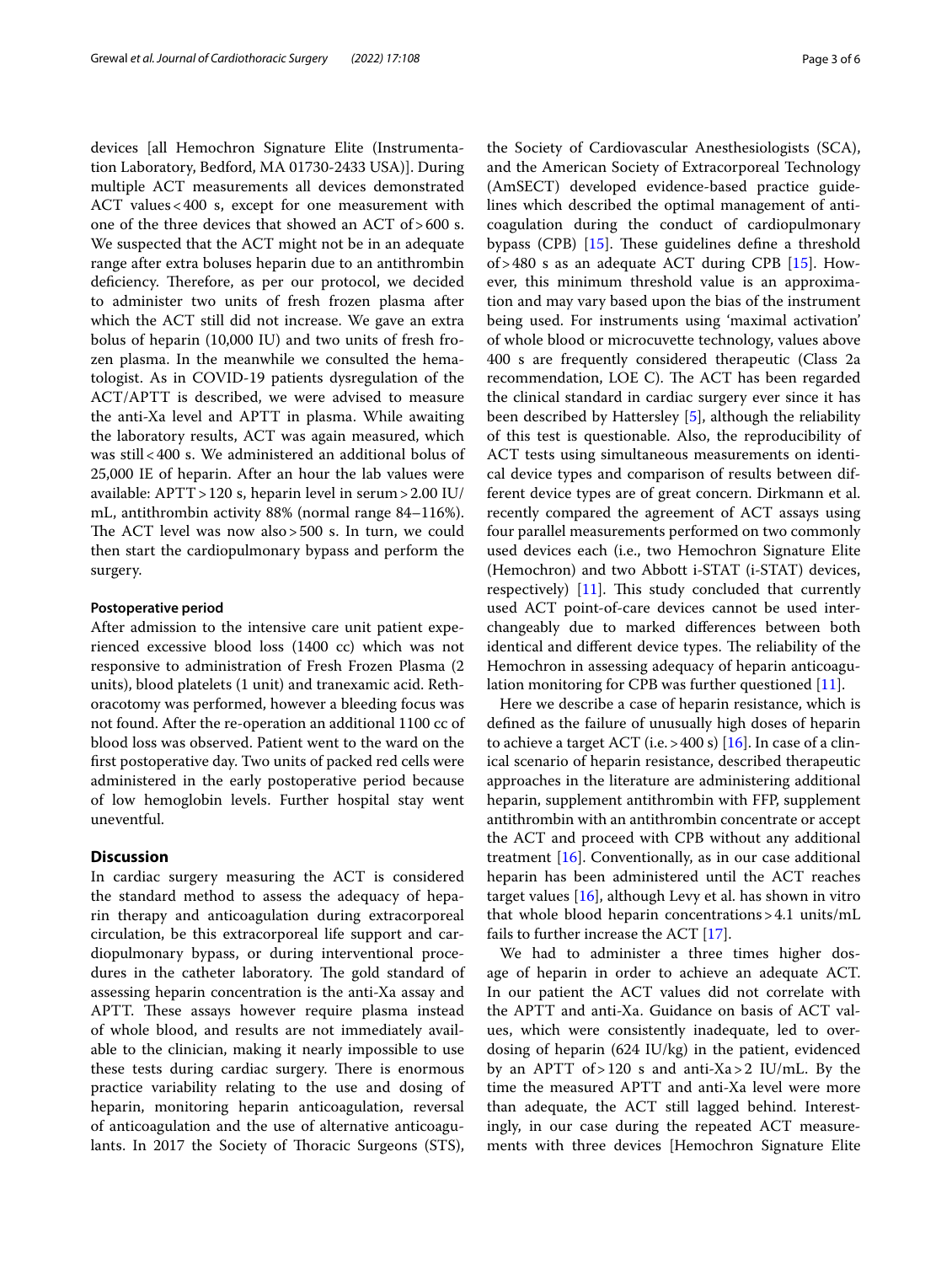devices [all Hemochron Signature Elite (Instrumentation Laboratory, Bedford, MA 01730-2433 USA)]. During multiple ACT measurements all devices demonstrated ACT values<400 s, except for one measurement with one of the three devices that showed an ACT of>600 s. We suspected that the ACT might not be in an adequate range after extra boluses heparin due to an antithrombin deficiency. Therefore, as per our protocol, we decided to administer two units of fresh frozen plasma after which the ACT still did not increase. We gave an extra bolus of heparin (10,000 IU) and two units of fresh frozen plasma. In the meanwhile we consulted the hematologist. As in COVID-19 patients dysregulation of the ACT/APTT is described, we were advised to measure the anti-Xa level and APTT in plasma. While awaiting the laboratory results, ACT was again measured, which was still<400 s. We administered an additional bolus of 25,000 IE of heparin. After an hour the lab values were available: APTT>120 s, heparin level in serum>2.00 IU/ mL, antithrombin activity 88% (normal range 84–116%). The ACT level was now also > 500 s. In turn, we could then start the cardiopulmonary bypass and perform the surgery.

## **Postoperative period**

After admission to the intensive care unit patient experienced excessive blood loss (1400 cc) which was not responsive to administration of Fresh Frozen Plasma (2 units), blood platelets (1 unit) and tranexamic acid. Rethoracotomy was performed, however a bleeding focus was not found. After the re-operation an additional 1100 cc of blood loss was observed. Patient went to the ward on the frst postoperative day. Two units of packed red cells were administered in the early postoperative period because of low hemoglobin levels. Further hospital stay went uneventful.

# **Discussion**

In cardiac surgery measuring the ACT is considered the standard method to assess the adequacy of heparin therapy and anticoagulation during extracorporeal circulation, be this extracorporeal life support and cardiopulmonary bypass, or during interventional procedures in the catheter laboratory. The gold standard of assessing heparin concentration is the anti-Xa assay and APTT. These assays however require plasma instead of whole blood, and results are not immediately available to the clinician, making it nearly impossible to use these tests during cardiac surgery. There is enormous practice variability relating to the use and dosing of heparin, monitoring heparin anticoagulation, reversal of anticoagulation and the use of alternative anticoagulants. In 2017 the Society of Thoracic Surgeons (STS),

the Society of Cardiovascular Anesthesiologists (SCA), and the American Society of Extracorporeal Technology (AmSECT) developed evidence-based practice guidelines which described the optimal management of anticoagulation during the conduct of cardiopulmonary bypass (CPB)  $[15]$  $[15]$ . These guidelines define a threshold of > 480 s as an adequate ACT during CPB  $[15]$  $[15]$ . However, this minimum threshold value is an approximation and may vary based upon the bias of the instrument being used. For instruments using 'maximal activation' of whole blood or microcuvette technology, values above 400 s are frequently considered therapeutic (Class 2a recommendation, LOE C). The ACT has been regarded the clinical standard in cardiac surgery ever since it has been described by Hattersley [\[5](#page-5-2)], although the reliability of this test is questionable. Also, the reproducibility of ACT tests using simultaneous measurements on identical device types and comparison of results between different device types are of great concern. Dirkmann et al. recently compared the agreement of ACT assays using four parallel measurements performed on two commonly used devices each (i.e., two Hemochron Signature Elite (Hemochron) and two Abbott i-STAT (i-STAT) devices, respectively)  $[11]$  $[11]$ . This study concluded that currently used ACT point-of-care devices cannot be used interchangeably due to marked diferences between both identical and different device types. The reliability of the Hemochron in assessing adequacy of heparin anticoagulation monitoring for CPB was further questioned [[11\]](#page-5-7).

Here we describe a case of heparin resistance, which is defned as the failure of unusually high doses of heparin to achieve a target ACT (i.e.  $>400$  s) [\[16\]](#page-5-12). In case of a clinical scenario of heparin resistance, described therapeutic approaches in the literature are administering additional heparin, supplement antithrombin with FFP, supplement antithrombin with an antithrombin concentrate or accept the ACT and proceed with CPB without any additional treatment [\[16](#page-5-12)]. Conventionally, as in our case additional heparin has been administered until the ACT reaches target values  $[16]$  $[16]$ , although Levy et al. has shown in vitro that whole blood heparin concentrations>4.1 units/mL fails to further increase the ACT [[17\]](#page-5-13).

We had to administer a three times higher dosage of heparin in order to achieve an adequate ACT. In our patient the ACT values did not correlate with the APTT and anti-Xa. Guidance on basis of ACT values, which were consistently inadequate, led to overdosing of heparin (624 IU/kg) in the patient, evidenced by an APTT of > 120 s and anti-Xa > 2 IU/mL. By the time the measured APTT and anti-Xa level were more than adequate, the ACT still lagged behind. Interestingly, in our case during the repeated ACT measurements with three devices [Hemochron Signature Elite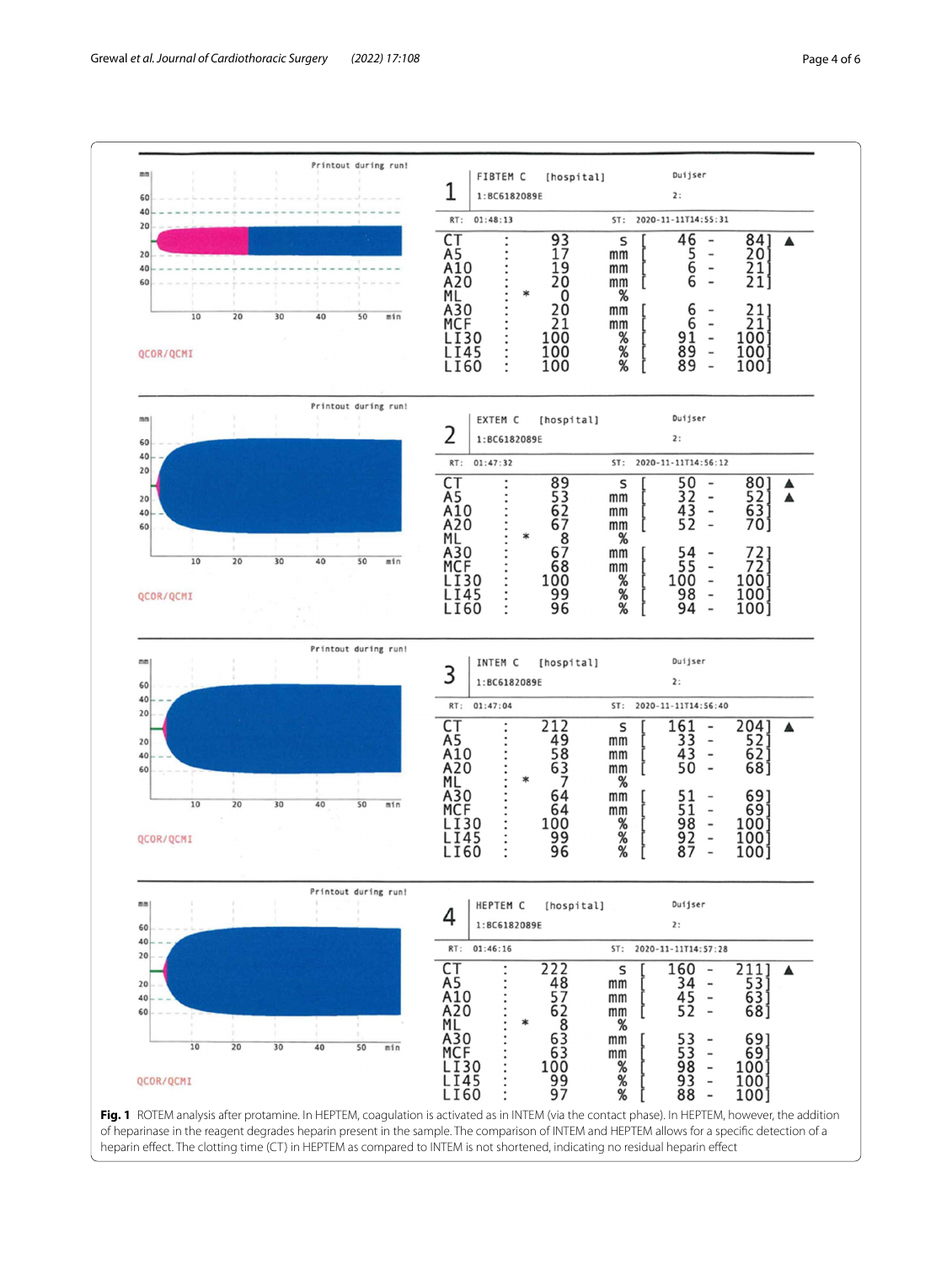

<span id="page-3-0"></span>of heparinase in the reagent degrades heparin present in the sample. The comparison of INTEM and HEPTEM allows for a specifc detection of a heparin efect. The clotting time (CT) in HEPTEM as compared to INTEM is not shortened, indicating no residual heparin efect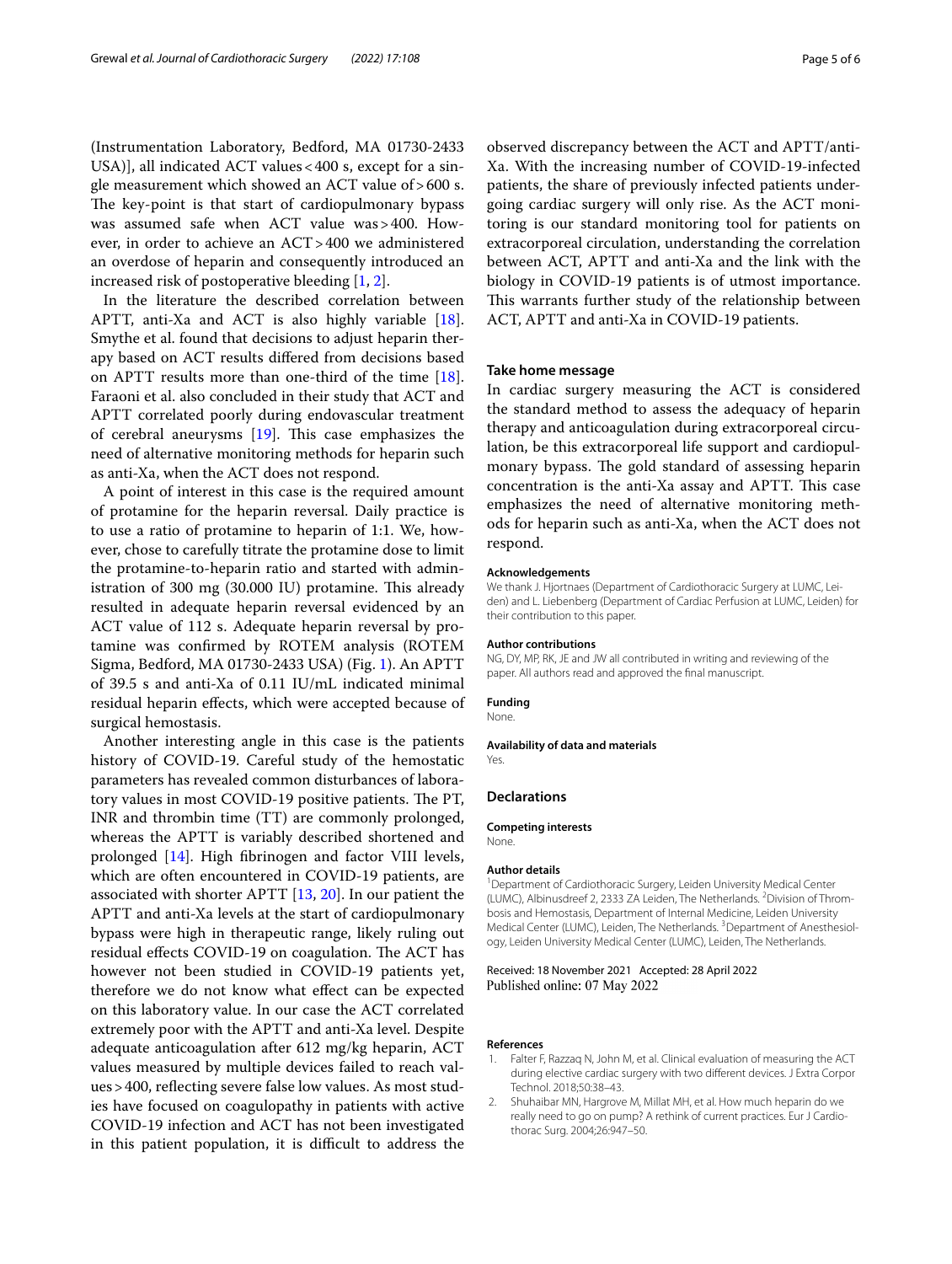(Instrumentation Laboratory, Bedford, MA 01730-2433 USA)], all indicated ACT values <400 s, except for a single measurement which showed an ACT value of>600 s. The key-point is that start of cardiopulmonary bypass was assumed safe when ACT value was>400. However, in order to achieve an ACT>400 we administered an overdose of heparin and consequently introduced an increased risk of postoperative bleeding [\[1](#page-4-0), [2\]](#page-4-1).

In the literature the described correlation between APTT, anti-Xa and ACT is also highly variable [\[18](#page-5-14)]. Smythe et al. found that decisions to adjust heparin therapy based on ACT results difered from decisions based on APTT results more than one-third of the time [\[18](#page-5-14)]. Faraoni et al. also concluded in their study that ACT and APTT correlated poorly during endovascular treatment of cerebral aneurysms  $[19]$ . This case emphasizes the need of alternative monitoring methods for heparin such as anti-Xa, when the ACT does not respond.

A point of interest in this case is the required amount of protamine for the heparin reversal. Daily practice is to use a ratio of protamine to heparin of 1:1. We, however, chose to carefully titrate the protamine dose to limit the protamine-to-heparin ratio and started with administration of 300 mg (30.000 IU) protamine. This already resulted in adequate heparin reversal evidenced by an ACT value of 112 s. Adequate heparin reversal by protamine was confrmed by ROTEM analysis (ROTEM Sigma, Bedford, MA 01730-2433 USA) (Fig. [1](#page-3-0)). An APTT of 39.5 s and anti-Xa of 0.11 IU/mL indicated minimal residual heparin efects, which were accepted because of surgical hemostasis.

Another interesting angle in this case is the patients history of COVID-19. Careful study of the hemostatic parameters has revealed common disturbances of laboratory values in most COVID-19 positive patients. The PT, INR and thrombin time (TT) are commonly prolonged, whereas the APTT is variably described shortened and prolonged [[14\]](#page-5-10). High fbrinogen and factor VIII levels, which are often encountered in COVID-19 patients, are associated with shorter APTT [[13,](#page-5-9) [20](#page-5-16)]. In our patient the APTT and anti-Xa levels at the start of cardiopulmonary bypass were high in therapeutic range, likely ruling out residual effects COVID-19 on coagulation. The ACT has however not been studied in COVID-19 patients yet, therefore we do not know what efect can be expected on this laboratory value. In our case the ACT correlated extremely poor with the APTT and anti-Xa level. Despite adequate anticoagulation after 612 mg/kg heparin, ACT values measured by multiple devices failed to reach values>400, refecting severe false low values. As most studies have focused on coagulopathy in patients with active COVID-19 infection and ACT has not been investigated in this patient population, it is difficult to address the

observed discrepancy between the ACT and APTT/anti-Xa. With the increasing number of COVID-19-infected patients, the share of previously infected patients undergoing cardiac surgery will only rise. As the ACT monitoring is our standard monitoring tool for patients on extracorporeal circulation, understanding the correlation between ACT, APTT and anti-Xa and the link with the biology in COVID-19 patients is of utmost importance. This warrants further study of the relationship between ACT, APTT and anti-Xa in COVID-19 patients.

#### **Take home message**

In cardiac surgery measuring the ACT is considered the standard method to assess the adequacy of heparin therapy and anticoagulation during extracorporeal circulation, be this extracorporeal life support and cardiopulmonary bypass. The gold standard of assessing heparin concentration is the anti-Xa assay and APTT. This case emphasizes the need of alternative monitoring methods for heparin such as anti-Xa, when the ACT does not respond.

#### **Acknowledgements**

We thank J. Hiortnaes (Department of Cardiothoracic Surgery at LUMC, Leiden) and L. Liebenberg (Department of Cardiac Perfusion at LUMC, Leiden) for their contribution to this paper.

#### **Author contributions**

NG, DY, MP, RK, JE and JW all contributed in writing and reviewing of the paper. All authors read and approved the fnal manuscript.

#### **Funding**

None.

**Availability of data and materials**

Yes.

#### **Declarations**

**Competing interests** None.

## **Author details**

<sup>1</sup> Department of Cardiothoracic Surgery, Leiden University Medical Center (LUMC), Albinusdreef 2, 2333 ZA Leiden, The Netherlands. <sup>2</sup> Division of Thrombosis and Hemostasis, Department of Internal Medicine, Leiden University Medical Center (LUMC), Leiden, The Netherlands. <sup>3</sup> Department of Anesthesiology, Leiden University Medical Center (LUMC), Leiden, The Netherlands.

#### Received: 18 November 2021 Accepted: 28 April 2022 Published online: 07 May 2022

#### **References**

- <span id="page-4-0"></span>1. Falter F, Razzaq N, John M, et al. Clinical evaluation of measuring the ACT during elective cardiac surgery with two diferent devices. J Extra Corpor Technol. 2018;50:38–43.
- <span id="page-4-1"></span>2. Shuhaibar MN, Hargrove M, Millat MH, et al. How much heparin do we really need to go on pump? A rethink of current practices. Eur J Cardiothorac Surg. 2004;26:947–50.